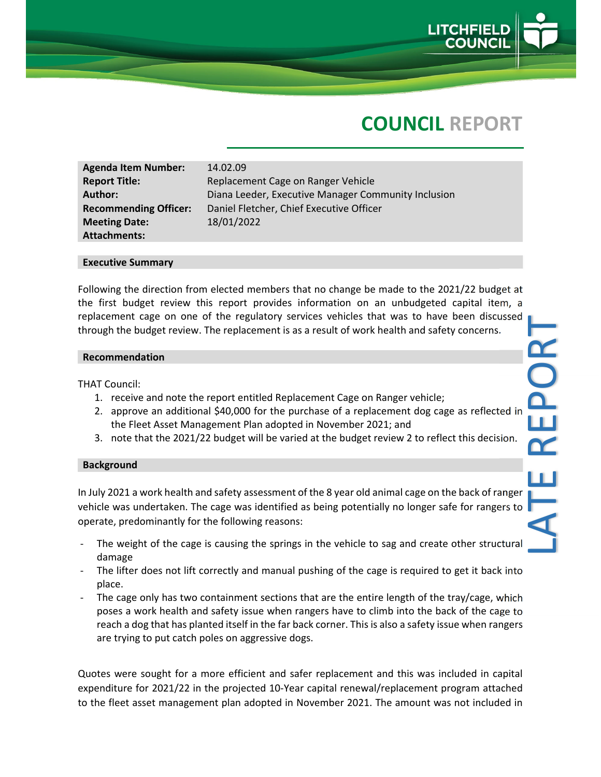

# **COUNCIL REPORT**

**Agenda Item Number:** 14.02.09 **Meeting Date:** 18/01/2022 **Attachments:**

**Report Title:** Replacement Cage on Ranger Vehicle **Author:** Diana Leeder, Executive Manager Community Inclusion **Recommending Officer:** Daniel Fletcher, Chief Executive Officer

#### **Executive Summary**

Following the direction from elected members that no change be made to the 2021/22 budget at the first budget review this report provides information on an unbudgeted capital item, a replacement cage on one of the regulatory services vehicles that was to have been discussed through the budget review. The replacement is as a result of work health and safety concerns.

#### **Recommendation**

THAT Council:

- 1. receive and note the report entitled Replacement Cage on Ranger vehicle;
- 2. approve an additional \$40,000 for the purchase of a replacement dog cage as reflected in the Fleet Asset Management Plan adopted in November 2021; and
- 3. note that the 2021/22 budget will be varied at the budget review 2 to reflect this decision.

#### **Background**

In July 2021 a work health and safety assessment of the 8 year old animal cage on the back of ranger vehicle was undertaken. The cage was identified as being potentially no longer safe for rangers to operate, predominantly for the following reasons:

- The weight of the cage is causing the springs in the vehicle to sag and create other structural damage
- The lifter does not lift correctly and manual pushing of the cage is required to get it back into place.
- The cage only has two containment sections that are the entire length of the tray/cage, which poses a work health and safety issue when rangers have to climb into the back of the cage to reach a dog that has planted itself in the far back corner. This is also a safety issue when rangers are trying to put catch poles on aggressive dogs.

Quotes were sought for a more efficient and safer replacement and this was included in capital expenditure for 2021/22 in the projected 10‐Year capital renewal/replacement program attached to the fleet asset management plan adopted in November 2021. The amount was not included in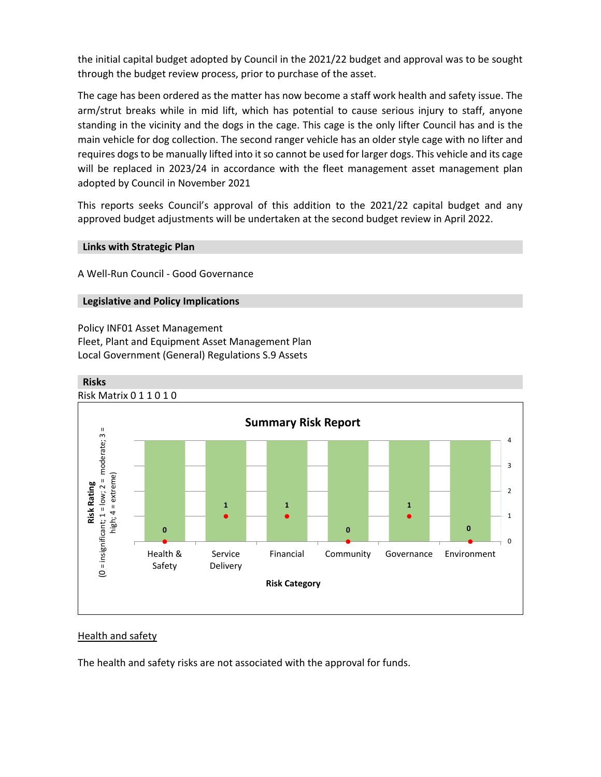the initial capital budget adopted by Council in the 2021/22 budget and approval was to be sought through the budget review process, prior to purchase of the asset.

The cage has been ordered as the matter has now become a staff work health and safety issue. The arm/strut breaks while in mid lift, which has potential to cause serious injury to staff, anyone standing in the vicinity and the dogs in the cage. This cage is the only lifter Council has and is the main vehicle for dog collection. The second ranger vehicle has an older style cage with no lifter and requires dogsto be manually lifted into it so cannot be used for larger dogs. This vehicle and its cage will be replaced in 2023/24 in accordance with the fleet management asset management plan adopted by Council in November 2021

This reports seeks Council's approval of this addition to the 2021/22 capital budget and any approved budget adjustments will be undertaken at the second budget review in April 2022.

#### **Links with Strategic Plan**

A Well‐Run Council ‐ Good Governance

## **Legislative and Policy Implications**

Policy INF01 Asset Management Fleet, Plant and Equipment Asset Management Plan Local Government (General) Regulations S.9 Assets



## Health and safety

The health and safety risks are not associated with the approval for funds.